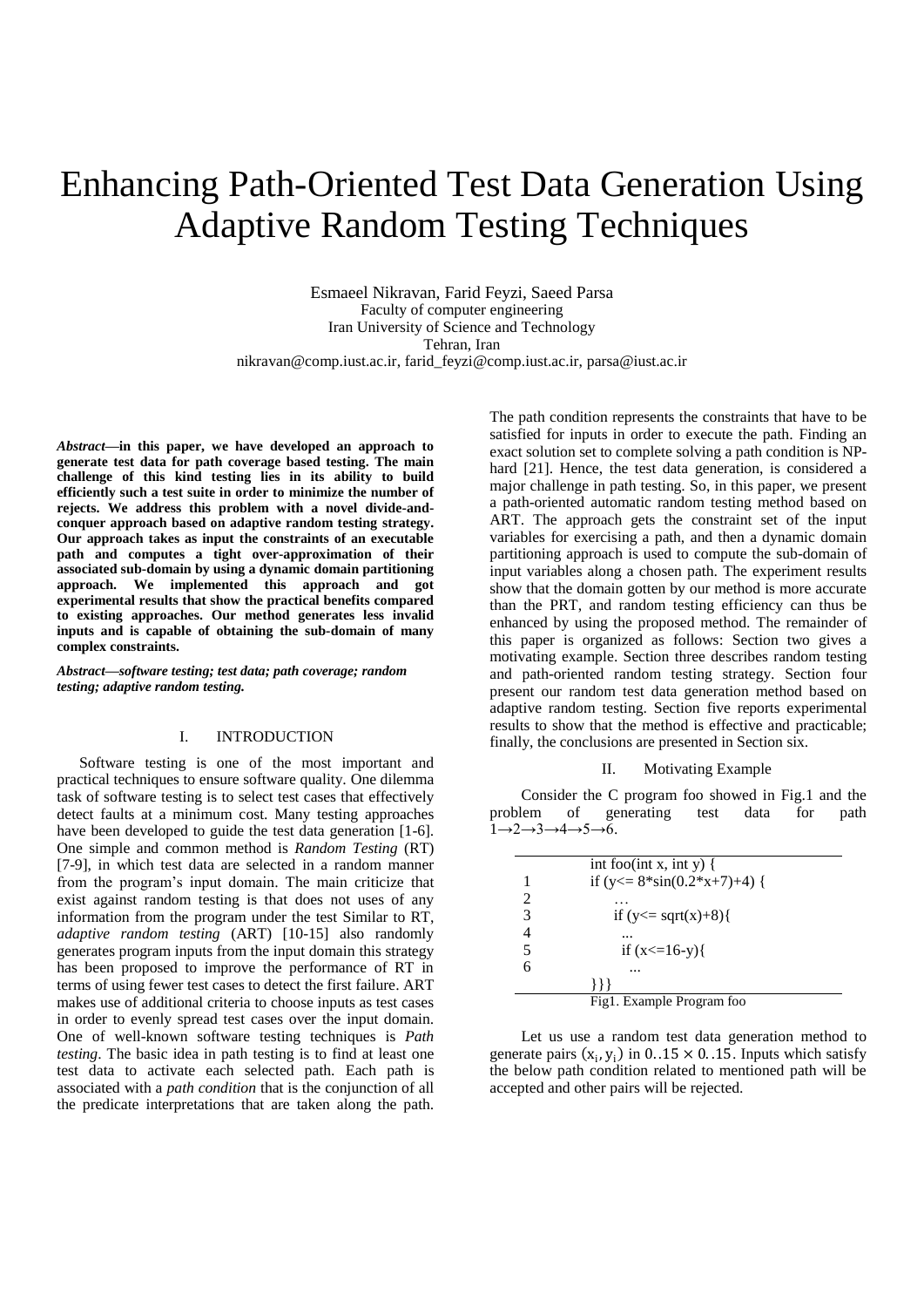# Enhancing Path-Oriented Test Data Generation Using Adaptive Random Testing Techniques

Esmaeel Nikravan, Farid Feyzi, Saeed Parsa Faculty of computer engineering Iran University of Science and Technology Tehran, Iran nikravan@comp.iust.ac.ir, farid\_feyzi@comp.iust.ac.ir, parsa@iust.ac.ir

*Abstract***—in this paper, we have developed an approach to generate test data for path coverage based testing. The main challenge of this kind testing lies in its ability to build efficiently such a test suite in order to minimize the number of rejects. We address this problem with a novel divide-andconquer approach based on adaptive random testing strategy. Our approach takes as input the constraints of an executable path and computes a tight over-approximation of their associated sub-domain by using a dynamic domain partitioning approach. We implemented this approach and got experimental results that show the practical benefits compared to existing approaches. Our method generates less invalid inputs and is capable of obtaining the sub-domain of many complex constraints.** 

*Abstract—software testing; test data; path coverage; random testing; adaptive random testing.*

### I. INTRODUCTION

Software testing is one of the most important and practical techniques to ensure software quality. One dilemma task of software testing is to select test cases that effectively detect faults at a minimum cost. Many testing approaches have been developed to guide the test data generation [1-6]. One simple and common method is *Random Testing* (RT) [7-9], in which test data are selected in a random manner from the program's input domain. The main criticize that exist against random testing is that does not uses of any information from the program under the test Similar to RT, *adaptive random testing* (ART) [10-15] also randomly generates program inputs from the input domain this strategy has been proposed to improve the performance of RT in terms of using fewer test cases to detect the first failure. ART makes use of additional criteria to choose inputs as test cases in order to evenly spread test cases over the input domain. One of well-known software testing techniques is *Path testing*. The basic idea in path testing is to find at least one test data to activate each selected path. Each path is associated with a *path condition* that is the conjunction of all the predicate interpretations that are taken along the path.

The path condition represents the constraints that have to be satisfied for inputs in order to execute the path. Finding an exact solution set to complete solving a path condition is NPhard [21]. Hence, the test data generation, is considered a major challenge in path testing. So, in this paper, we present a path-oriented automatic random testing method based on ART. The approach gets the constraint set of the input variables for exercising a path, and then a dynamic domain partitioning approach is used to compute the sub-domain of input variables along a chosen path. The experiment results show that the domain gotten by our method is more accurate than the PRT, and random testing efficiency can thus be enhanced by using the proposed method. The remainder of this paper is organized as follows: Section two gives a motivating example. Section three describes random testing and path-oriented random testing strategy. Section four present our random test data generation method based on adaptive random testing. Section five reports experimental results to show that the method is effective and practicable; finally, the conclusions are presented in Section six.

#### II. Motivating Example

Consider the C program foo showed in Fig.1 and the problem of generating test data for path  $1\rightarrow 2\rightarrow 3\rightarrow 4\rightarrow 5\rightarrow 6.$ 

|                       | int foo(int x, int y) {                          |
|-----------------------|--------------------------------------------------|
| 1                     | if $(y \le 8 \cdot \sin(0.2 \cdot x + 7) + 4)$ { |
| $\mathcal{D}_{\cdot}$ |                                                  |
| 3                     | if $(y \leq x \leq grt(x)+8)$                    |
| 4                     |                                                  |
| 5                     | if $(x \le 16-y)$                                |
| 6                     |                                                  |
|                       |                                                  |
|                       | Fig1. Example Program foo                        |

Let us use a random test data generation method to generate pairs  $(x_i, y_i)$  in 0..15 × 0..15. Inputs which satisfy the below path condition related to mentioned path will be accepted and other pairs will be rejected.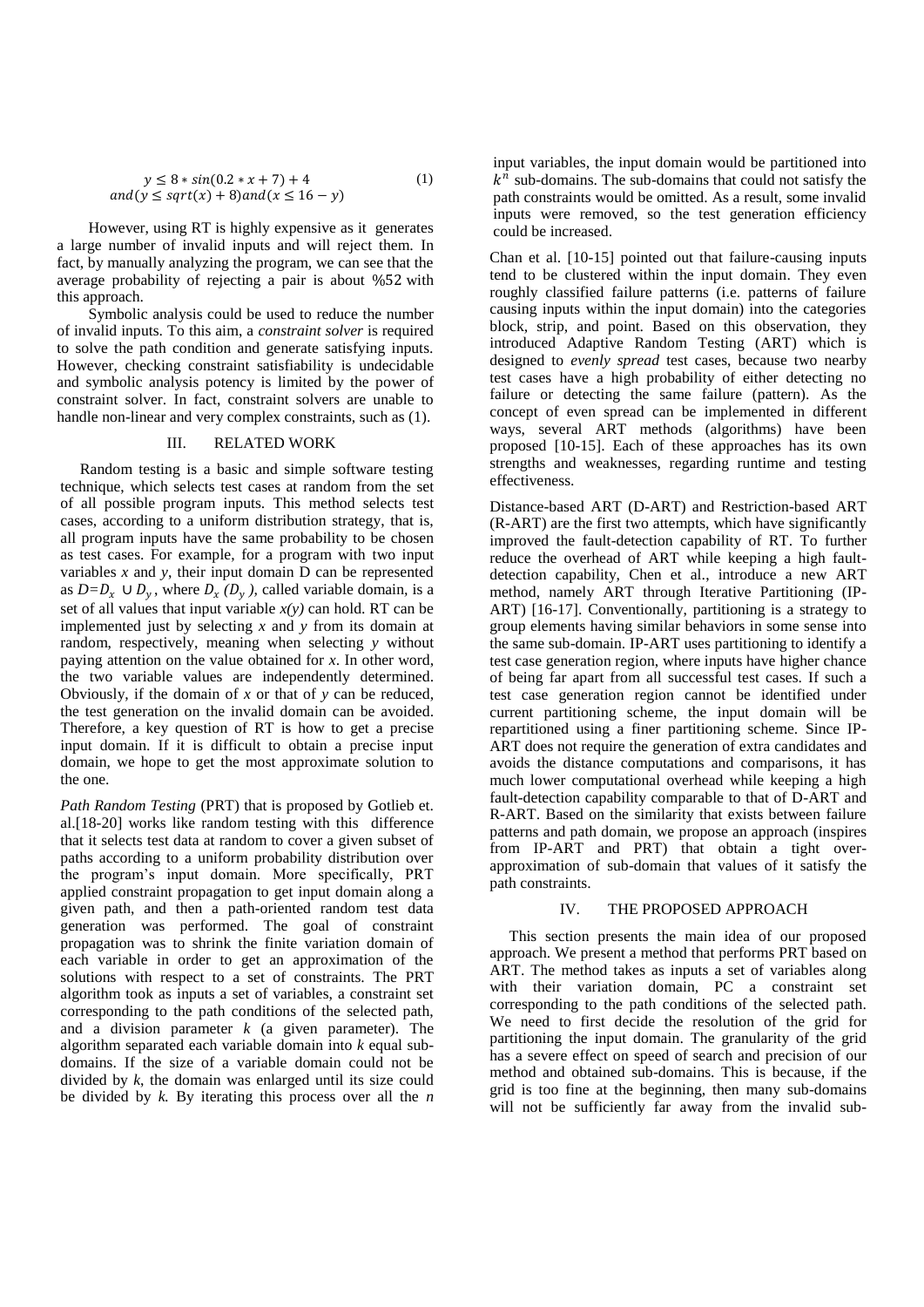$$
y \le 8 * sin(0.2 * x + 7) + 4
$$
  
and  $(y \le sqrt(x) + 8)$  and  $(x \le 16 - y)$  (1)

However, using RT is highly expensive as it generates a large number of invalid inputs and will reject them. In fact, by manually analyzing the program, we can see that the average probability of rejecting a pair is about %52 with this approach.

Symbolic analysis could be used to reduce the number of invalid inputs. To this aim, a *constraint solver* is required to solve the path condition and generate satisfying inputs. However, checking constraint satisfiability is undecidable and symbolic analysis potency is limited by the power of constraint solver. In fact, constraint solvers are unable to handle non-linear and very complex constraints, such as (1).

#### III. RELATED WORK

 Random testing is a basic and simple software testing technique, which selects test cases at random from the set of all possible program inputs. This method selects test cases, according to a uniform distribution strategy, that is, all program inputs have the same probability to be chosen as test cases. For example, for a program with two input variables  $x$  and  $y$ , their input domain  $\overline{D}$  can be represented as  $D=D_x \cup D_y$ , where  $D_x(D_y)$ , called variable domain, is a set of all values that input variable  $x(y)$  can hold. RT can be implemented just by selecting *x* and *y* from its domain at random, respectively, meaning when selecting *y* without paying attention on the value obtained for *x*. In other word, the two variable values are independently determined. Obviously, if the domain of *x* or that of *y* can be reduced, the test generation on the invalid domain can be avoided. Therefore, a key question of RT is how to get a precise input domain. If it is difficult to obtain a precise input domain, we hope to get the most approximate solution to the one.

*Path Random Testing* (PRT) that is proposed by Gotlieb et. al.[18-20] works like random testing with this difference that it selects test data at random to cover a given subset of paths according to a uniform probability distribution over the program's input domain. More specifically, PRT applied constraint propagation to get input domain along a given path, and then a path-oriented random test data generation was performed. The goal of constraint propagation was to shrink the finite variation domain of each variable in order to get an approximation of the solutions with respect to a set of constraints. The PRT algorithm took as inputs a set of variables, a constraint set corresponding to the path conditions of the selected path, and a division parameter *k* (a given parameter). The algorithm separated each variable domain into *k* equal subdomains. If the size of a variable domain could not be divided by *k*, the domain was enlarged until its size could be divided by *k.* By iterating this process over all the *n*  input variables, the input domain would be partitioned into  $k^{\overline{n}}$  sub-domains. The sub-domains that could not satisfy the path constraints would be omitted. As a result, some invalid inputs were removed, so the test generation efficiency could be increased.

Chan et al. [10-15] pointed out that failure-causing inputs tend to be clustered within the input domain. They even roughly classified failure patterns (i.e. patterns of failure causing inputs within the input domain) into the categories block, strip, and point. Based on this observation, they introduced Adaptive Random Testing (ART) which is designed to *evenly spread* test cases, because two nearby test cases have a high probability of either detecting no failure or detecting the same failure (pattern). As the concept of even spread can be implemented in different ways, several ART methods (algorithms) have been proposed [10-15]. Each of these approaches has its own strengths and weaknesses, regarding runtime and testing effectiveness.

Distance-based ART (D-ART) and Restriction-based ART (R-ART) are the first two attempts, which have significantly improved the fault-detection capability of RT. To further reduce the overhead of ART while keeping a high faultdetection capability, Chen et al., introduce a new ART method, namely ART through Iterative Partitioning (IP-ART) [16-17]. Conventionally, partitioning is a strategy to group elements having similar behaviors in some sense into the same sub-domain. IP-ART uses partitioning to identify a test case generation region, where inputs have higher chance of being far apart from all successful test cases. If such a test case generation region cannot be identified under current partitioning scheme, the input domain will be repartitioned using a finer partitioning scheme. Since IP-ART does not require the generation of extra candidates and avoids the distance computations and comparisons, it has much lower computational overhead while keeping a high fault-detection capability comparable to that of D-ART and R-ART. Based on the similarity that exists between failure patterns and path domain, we propose an approach (inspires from IP-ART and PRT) that obtain a tight overapproximation of sub-domain that values of it satisfy the path constraints.

# IV. THE PROPOSED APPROACH

 This section presents the main idea of our proposed approach. We present a method that performs PRT based on ART. The method takes as inputs a set of variables along with their variation domain, PC a constraint set corresponding to the path conditions of the selected path. We need to first decide the resolution of the grid for partitioning the input domain. The granularity of the grid has a severe effect on speed of search and precision of our method and obtained sub-domains. This is because, if the grid is too fine at the beginning, then many sub-domains will not be sufficiently far away from the invalid sub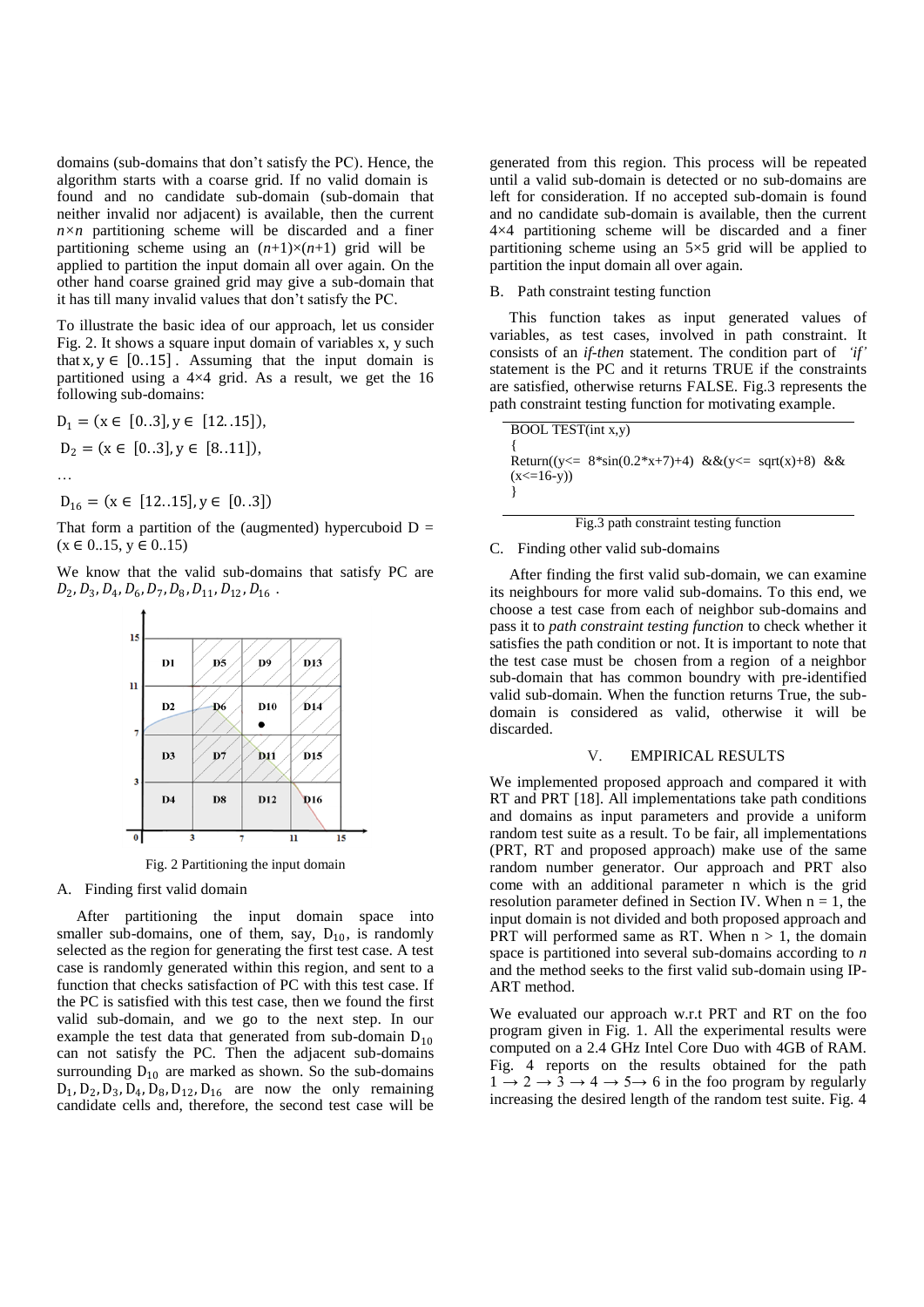domains (sub-domains that don't satisfy the PC). Hence, the algorithm starts with a coarse grid. If no valid domain is found and no candidate sub-domain (sub-domain that neither invalid nor adjacent) is available, then the current  $n \times n$  partitioning scheme will be discarded and a finer partitioning scheme using an  $(n+1)\times(n+1)$  grid will be applied to partition the input domain all over again. On the other hand coarse grained grid may give a sub-domain that it has till many invalid values that don't satisfy the PC.

To illustrate the basic idea of our approach, let us consider Fig. 2. It shows a square input domain of variables x, y such that  $x, y \in [0..15]$ . Assuming that the input domain is partitioned using a 4×4 grid. As a result, we get the 16 following sub-domains:

$$
D_1 = (x \in [0..3], y \in [12..15]),
$$
  
\n
$$
D_2 = (x \in [0..3], y \in [8..11]),
$$

…

 $D_{16} = (x \in [12..15], y \in [0..3])$ 

That form a partition of the (augmented) hypercuboid  $D =$  $(x \in 0.15, y \in 0.15)$ 

We know that the valid sub-domains that satisfy PC are  $D_2, D_3, D_4, D_6, D_7, D_8, D_{11}, D_{12}, D_{16}$ .



Fig. 2 Partitioning the input domain

# A. Finding first valid domain

 After partitioning the input domain space into smaller sub-domains, one of them, say,  $D_{10}$ , is randomly selected as the region for generating the first test case. A test case is randomly generated within this region, and sent to a function that checks satisfaction of PC with this test case. If the PC is satisfied with this test case, then we found the first valid sub-domain, and we go to the next step. In our example the test data that generated from sub-domain  $D_{10}$ can not satisfy the PC. Then the adjacent sub-domains surrounding  $D_{10}$  are marked as shown. So the sub-domains  $D_1$ ,  $D_2$ ,  $D_3$ ,  $D_4$ ,  $D_8$ ,  $D_{12}$ ,  $D_{16}$  are now the only remaining candidate cells and, therefore, the second test case will be

generated from this region. This process will be repeated until a valid sub-domain is detected or no sub-domains are left for consideration. If no accepted sub-domain is found and no candidate sub-domain is available, then the current 4×4 partitioning scheme will be discarded and a finer partitioning scheme using an 5×5 grid will be applied to partition the input domain all over again.

#### B. Path constraint testing function

 This function takes as input generated values of variables, as test cases, involved in path constraint. It consists of an *if-then* statement. The condition part of *'if'* statement is the PC and it returns TRUE if the constraints are satisfied, otherwise returns FALSE. Fig.3 represents the path constraint testing function for motivating example.

| BOOL TEST(int x,y)                                                                   |  |  |
|--------------------------------------------------------------------------------------|--|--|
|                                                                                      |  |  |
| Return( $(y \le 8 \cdot \sin(0.2 \cdot x + 7) + 4)$ & & $(y \le \sqrt{x}) + 8$ ) & & |  |  |
| $(x \le 16-y)$                                                                       |  |  |
|                                                                                      |  |  |

#### Fig.3 path constraint testing function

#### C. Finding other valid sub-domains

 After finding the first valid sub-domain, we can examine its neighbours for more valid sub-domains. To this end, we choose a test case from each of neighbor sub-domains and pass it to *path constraint testing function* to check whether it satisfies the path condition or not. It is important to note that the test case must be chosen from a region of a neighbor sub-domain that has common boundry with pre-identified valid sub-domain. When the function returns True, the subdomain is considered as valid, otherwise it will be discarded.

## V. EMPIRICAL RESULTS

We implemented proposed approach and compared it with RT and PRT [18]. All implementations take path conditions and domains as input parameters and provide a uniform random test suite as a result. To be fair, all implementations (PRT, RT and proposed approach) make use of the same random number generator. Our approach and PRT also come with an additional parameter n which is the grid resolution parameter defined in Section IV. When  $n = 1$ , the input domain is not divided and both proposed approach and PRT will performed same as RT. When  $n > 1$ , the domain space is partitioned into several sub-domains according to *n* and the method seeks to the first valid sub-domain using IP-ART method.

We evaluated our approach w.r.t PRT and RT on the foo program given in Fig. 1. All the experimental results were computed on a 2.4 GHz Intel Core Duo with 4GB of RAM. Fig. 4 reports on the results obtained for the path  $1 \rightarrow 2 \rightarrow 3 \rightarrow 4 \rightarrow 5 \rightarrow 6$  in the foo program by regularly increasing the desired length of the random test suite. Fig. 4